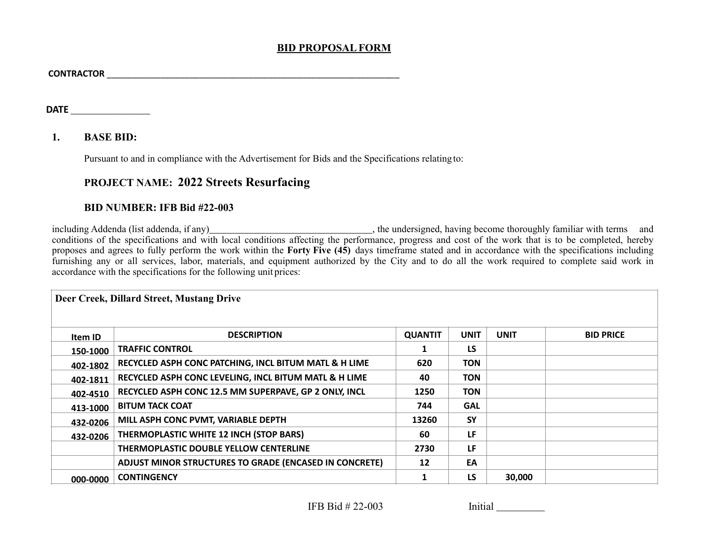## **BID PROPOSALFORM**

| <b>CONTRACTOR</b> |  |
|-------------------|--|
|                   |  |

**DATE \_\_\_\_\_\_\_\_\_\_\_\_\_\_\_\_\_\_\_\_\_**

## **1. BASE BID:**

Pursuant to and in compliance with the Advertisement for Bids and the Specifications relating to:

## **PROJECT NAME: 2022 Streets Resurfacing**

## **BID NUMBER: IFB Bid #22-003**

including Addenda (list addenda, if any) , the undersigned, having become thoroughly familiar with terms and conditions of the specifications and with local conditions affecting the performance, progress and cost of the work that is to be completed, hereby proposes and agrees to fully perform the work within the **Forty Five (45)** days timeframe stated and in accordance with the specifications including furnishing any or all services, labor, materials, and equipment authorized by the City and to do all the work required to complete said work in accordance with the specifications for the following unit prices:

| Deer Creek, Dillard Street, Mustang Drive |                                                        |                |             |             |                  |  |  |  |
|-------------------------------------------|--------------------------------------------------------|----------------|-------------|-------------|------------------|--|--|--|
| Item ID                                   | <b>DESCRIPTION</b>                                     | <b>QUANTIT</b> | <b>UNIT</b> | <b>UNIT</b> | <b>BID PRICE</b> |  |  |  |
| 150-1000                                  | <b>TRAFFIC CONTROL</b>                                 |                | <b>LS</b>   |             |                  |  |  |  |
| 402-1802                                  | RECYCLED ASPH CONC PATCHING, INCL BITUM MATL & H LIME  | 620            | <b>TON</b>  |             |                  |  |  |  |
| 402-1811                                  | RECYCLED ASPH CONC LEVELING, INCL BITUM MATL & H LIME  | 40             | <b>TON</b>  |             |                  |  |  |  |
| 402-4510                                  | RECYCLED ASPH CONC 12.5 MM SUPERPAVE, GP 2 ONLY, INCL  | 1250           | <b>TON</b>  |             |                  |  |  |  |
| 413-1000                                  | <b>BITUM TACK COAT</b>                                 | 744            | <b>GAL</b>  |             |                  |  |  |  |
| 432-0206                                  | MILL ASPH CONC PVMT, VARIABLE DEPTH                    | 13260          | <b>SY</b>   |             |                  |  |  |  |
| 432-0206                                  | THERMOPLASTIC WHITE 12 INCH (STOP BARS)                | 60             | LF          |             |                  |  |  |  |
|                                           | THERMOPLASTIC DOUBLE YELLOW CENTERLINE                 | 2730           | LF          |             |                  |  |  |  |
|                                           | ADJUST MINOR STRUCTURES TO GRADE (ENCASED IN CONCRETE) | 12             | EA          |             |                  |  |  |  |
| 000-0000                                  | <b>CONTINGENCY</b>                                     |                | <b>LS</b>   | 30,000      |                  |  |  |  |